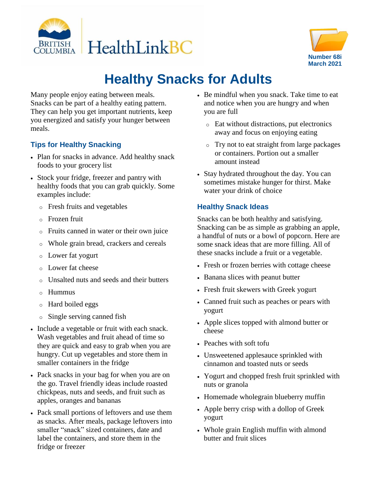



## **Healthy Snacks for Adults**

Many people enjoy eating between meals. Snacks can be part of a healthy eating pattern. They can help you get important nutrients, keep you energized and satisfy your hunger between meals.

## **Tips for Healthy Snacking**

- Plan for snacks in advance. Add healthy snack foods to your grocery list
- Stock your fridge, freezer and pantry with healthy foods that you can grab quickly. Some examples include:
	- o Fresh fruits and vegetables
	- o Frozen fruit
	- o Fruits canned in water or their own juice
	- o Whole grain bread, crackers and cereals
	- o Lower fat yogurt
	- o Lower fat cheese
	- Unsalted nuts and seeds and their butters
	- o Hummus
	- o Hard boiled eggs
	- o Single serving canned fish
- Include a vegetable or fruit with each snack. Wash vegetables and fruit ahead of time so they are quick and easy to grab when you are hungry. Cut up vegetables and store them in smaller containers in the fridge
- Pack snacks in your bag for when you are on the go. Travel friendly ideas include roasted chickpeas, nuts and seeds, and fruit such as apples, oranges and bananas
- Pack small portions of leftovers and use them as snacks. After meals, package leftovers into smaller "snack" sized containers, date and label the containers, and store them in the fridge or freezer
- Be mindful when you snack. Take time to eat and notice when you are hungry and when you are full
	- o Eat without distractions, put electronics away and focus on enjoying eating
	- o Try not to eat straight from large packages or containers. Portion out a smaller amount instead
- Stay hydrated throughout the day. You can sometimes mistake hunger for thirst. Make water your drink of choice

## **Healthy Snack Ideas**

Snacks can be both healthy and satisfying. Snacking can be as simple as grabbing an apple, a handful of nuts or a bowl of popcorn. Here are some snack ideas that are more filling. All of these snacks include a fruit or a vegetable.

- Fresh or frozen berries with cottage cheese
- Banana slices with peanut butter
- Fresh fruit skewers with Greek yogurt
- Canned fruit such as peaches or pears with yogurt
- Apple slices topped with almond butter or cheese
- Peaches with soft tofu
- Unsweetened applesauce sprinkled with cinnamon and toasted nuts or seeds
- Yogurt and chopped fresh fruit sprinkled with nuts or granola
- Homemade wholegrain blueberry muffin
- Apple berry crisp with a dollop of Greek yogurt
- Whole grain English muffin with almond butter and fruit slices